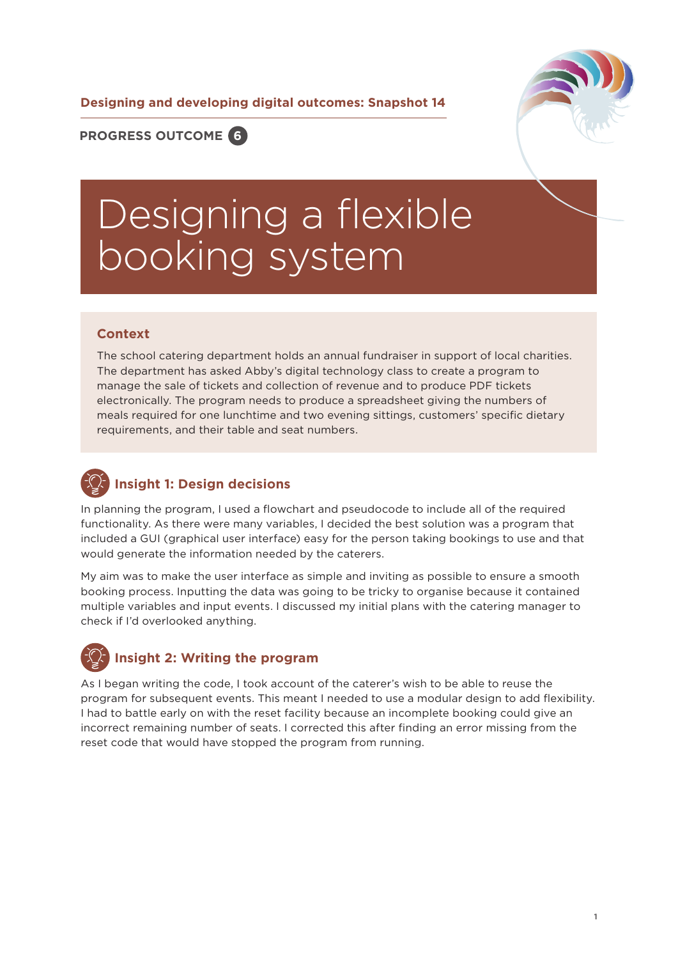**Designing and developing digital outcomes: Snapshot 14**



**PROGRESS OUTCOME 6**

# Designing a flexible booking system

#### **Context**

The school catering department holds an annual fundraiser in support of local charities. The department has asked Abby's digital technology class to create a program to manage the sale of tickets and collection of revenue and to produce PDF tickets electronically. The program needs to produce a spreadsheet giving the numbers of meals required for one lunchtime and two evening sittings, customers' specific dietary requirements, and their table and seat numbers.

## **Insight 1: Design decisions**

In planning the program, I used a flowchart and pseudocode to include all of the required functionality. As there were many variables, I decided the best solution was a program that included a GUI (graphical user interface) easy for the person taking bookings to use and that would generate the information needed by the caterers.

My aim was to make the user interface as simple and inviting as possible to ensure a smooth booking process. Inputting the data was going to be tricky to organise because it contained multiple variables and input events. I discussed my initial plans with the catering manager to check if I'd overlooked anything.

## **Insight 2: Writing the program**

As I began writing the code, I took account of the caterer's wish to be able to reuse the program for subsequent events. This meant I needed to use a modular design to add flexibility. I had to battle early on with the reset facility because an incomplete booking could give an incorrect remaining number of seats. I corrected this after finding an error missing from the reset code that would have stopped the program from running.